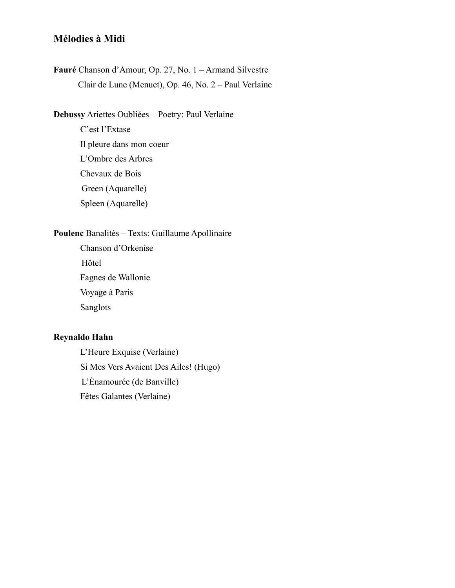# **Mélodies à Midi**

**Fauré** Chanson d'Amour, Op. 27, No. 1 – Armand Silvestre Clair de Lune (Menuet), Op. 46, No. 2 – Paul Verlaine

**Debussy** Ariettes Oubliées – Poetry: Paul Verlaine

C'est l'Extase Il pleure dans mon coeur L'Ombre des Arbres Chevaux de Bois Green (Aquarelle) Spleen (Aquarelle)

## **Poulenc** Banalités – Texts: Guillaume Apollinaire

 Chanson d'Orkenise Hôtel Fagnes de Wallonie Voyage à Paris Sanglots

## **Reynaldo Hahn**

 L'Heure Exquise (Verlaine) Si Mes Vers Avaient Des Ailes! (Hugo) L'Énamourée (de Banville) Fêtes Galantes (Verlaine)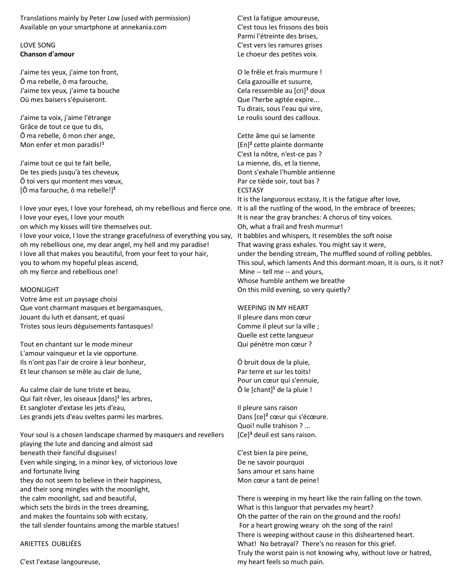Translations mainly by Peter Low (used with permission) Available on your smartphone at annekania.com

### LOVE SONG **Chanson d'amour**

J'aime tes yeux, j'aime ton front, Ô ma rebelle, ô ma farouche, J'aime tex yeux, j'aime ta bouche Où mes baisers s'épuiseront.

J'aime ta voix, j'aime l'étrange Grâce de tout ce que tu dis, Ô ma rebelle, ô mon cher ange, Mon enfer et mon paradis!**<sup>1</sup>**

J'aime tout ce qui te fait belle, De tes pieds jusqu'à tes cheveux, Ô toi vers qui montent mes vœux, [Ô ma farouche, ô ma rebelle!]**<sup>2</sup>**

I love your eyes, I love your forehead, oh my rebellious and fierce one. It is all the rustling of the wood, In the embrace of breezes; I love your eyes, I love your mouth on which my kisses will tire themselves out. I love your voice, I love the strange gracefulness of everything you say, oh my rebellious one, my dear angel, my hell and my paradise! I love all that makes you beautiful, from your feet to your hair, you to whom my hopeful pleas ascend, oh my fierce and rebellious one!

MOONLIGHT

Votre âme est un paysage choisi Que vont charmant masques et bergamasques, Jouant du luth et dansant, et quasi Tristes sous leurs déguisements fantasques!

Tout en chantant sur le mode mineur L'amour vainqueur et la vie opportune. Ils n'ont pas l'air de croire à leur bonheur, Et leur chanson se mêle au clair de lune,

Au calme clair de lune triste et beau, Qui fait rêver, les oiseaux [dans]**<sup>1</sup>** les arbres, Et sangloter d'extase les jets d'eau, Les grands jets d'eau sveltes parmi les marbres.

Your soul is a chosen landscape charmed by masquers and revellers playing the lute and dancing and almost sad beneath their fanciful disguises! Even while singing, in a minor key, of victorious love and fortunate living they do not seem to believe in their happiness, and their song mingles with the moonlight, the calm moonlight, sad and beautiful, which sets the birds in the trees dreaming, and makes the fountains sob with ecstasy, the tall slender fountains among the marble statues!

ARIETTES OUBLIÉES

C'est l'extase langoureuse,

C'est la fatigue amoureuse, C'est tous les frissons des bois Parmi l'étreinte des brises, C'est vers les ramures grises Le choeur des petites voix.

O le frêle et frais murmure ! Cela gazouille et susurre, Cela ressemble au [cri]**<sup>1</sup>** doux Que l'herbe agitée expire... Tu dirais, sous l'eau qui vire, Le roulis sourd des cailloux.

Cette âme qui se lamente [En]**<sup>2</sup>** cette plainte dormante C'est la nôtre, n'est-ce pas ? La mienne, dis, et la tienne, Dont s'exhale l'humble antienne Par ce tiède soir, tout bas ? ECSTASY It is the languorous ecstasy, It is the fatigue after love, It is near the gray branches: A chorus of tiny voices. Oh, what a frail and fresh murmur! It babbles and whispers, It resembles the soft noise That waving grass exhales. You might say it were, under the bending stream, The muffled sound of rolling pebbles. This soul, which laments And this dormant moan, It is ours, is it not? Mine -- tell me -- and yours, Whose humble anthem we breathe On this mild evening, so very quietly?

WEEPING IN MY HEART Il pleure dans mon cœur Comme il pleut sur la ville ; Quelle est cette langueur Qui pénètre mon cœur ?

Ô bruit doux de la pluie, Par terre et sur les toits! Pour un cœur qui s'ennuie, Ô le [chant]**<sup>1</sup>** de la pluie !

Il pleure sans raison Dans [ce]**<sup>2</sup>** cœur qui s'écœure. Quoi! nulle trahison ? ... [Ce]**<sup>3</sup>** deuil est sans raison.

C'est bien la pire peine, De ne savoir pourquoi Sans amour et sans haine Mon cœur a tant de peine!

There is weeping in my heart like the rain falling on the town. What is this languor that pervades my heart? Oh the patter of the rain on the ground and the roofs! For a heart growing weary oh the song of the rain! There is weeping without cause in this disheartened heart. What! No betrayal? There's no reason for this grief. Truly the worst pain is not knowing why, without love or hatred, my heart feels so much pain.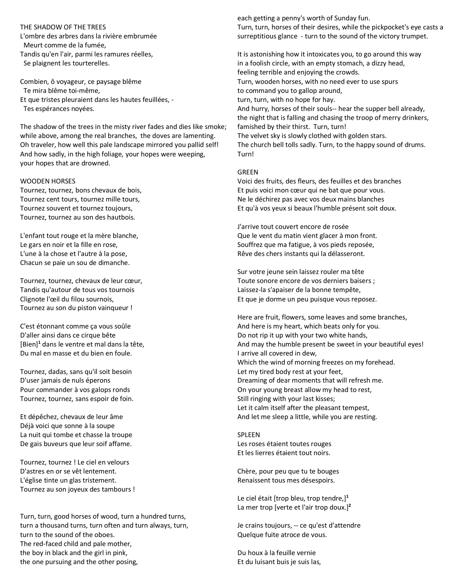THE SHADOW OF THE TREES

L'ombre des arbres dans la rivière embrumée Meurt comme de la fumée, Tandis qu'en l'air, parmi les ramures réelles, Se plaignent les tourterelles.

Combien, ô voyageur, ce paysage blême Te mira blême toi-même, Et que tristes pleuraient dans les hautes feuillées, - Tes espérances noyées.

The shadow of the trees in the misty river fades and dies like smoke; while above, among the real branches, the doves are lamenting. Oh traveler, how well this pale landscape mirrored you pallid self! And how sadly, in the high foliage, your hopes were weeping, your hopes that are drowned.

### WOODEN HORSES

Tournez, tournez, bons chevaux de bois, Tournez cent tours, tournez mille tours, Tournez souvent et tournez toujours, Tournez, tournez au son des hautbois.

L'enfant tout rouge et la mère blanche, Le gars en noir et la fille en rose, L'une à la chose et l'autre à la pose, Chacun se paie un sou de dimanche.

Tournez, tournez, chevaux de leur cœur, Tandis qu'autour de tous vos tournois Clignote l'œil du filou sournois, Tournez au son du piston vainqueur !

C'est étonnant comme ça vous soûle D'aller ainsi dans ce cirque bête [Bien]**<sup>1</sup>** dans le ventre et mal dans la tête, Du mal en masse et du bien en foule.

Tournez, dadas, sans qu'il soit besoin D'user jamais de nuls éperons Pour commander à vos galops ronds Tournez, tournez, sans espoir de foin.

Et dépêchez, chevaux de leur âme Déjà voici que sonne à la soupe La nuit qui tombe et chasse la troupe De gais buveurs que leur soif affame.

Tournez, tournez ! Le ciel en velours D'astres en or se vêt lentement. L'église tinte un glas tristement. Tournez au son joyeux des tambours !

Turn, turn, good horses of wood, turn a hundred turns, turn a thousand turns, turn often and turn always, turn, turn to the sound of the oboes. The red-faced child and pale mother, the boy in black and the girl in pink, the one pursuing and the other posing,

each getting a penny's worth of Sunday fun. Turn, turn, horses of their desires, while the pickpocket's eye casts a surreptitious glance - turn to the sound of the victory trumpet.

It is astonishing how it intoxicates you, to go around this way in a foolish circle, with an empty stomach, a dizzy head, feeling terrible and enjoying the crowds. Turn, wooden horses, with no need ever to use spurs to command you to gallop around, turn, turn, with no hope for hay. And hurry, horses of their souls-- hear the supper bell already, the night that is falling and chasing the troop of merry drinkers, famished by their thirst. Turn, turn! The velvet sky is slowly clothed with golden stars. The church bell tolls sadly. Turn, to the happy sound of drums. Turn!

### GREEN

Voici des fruits, des fleurs, des feuilles et des branches Et puis voici mon cœur qui ne bat que pour vous. Ne le déchirez pas avec vos deux mains blanches Et qu'à vos yeux si beaux l'humble présent soit doux.

J'arrive tout couvert encore de rosée Que le vent du matin vient glacer à mon front. Souffrez que ma fatigue, à vos pieds reposée, Rêve des chers instants qui la délasseront.

Sur votre jeune sein laissez rouler ma tête Toute sonore encore de vos derniers baisers ; Laissez-la s'apaiser de la bonne tempête, Et que je dorme un peu puisque vous reposez.

Here are fruit, flowers, some leaves and some branches, And here is my heart, which beats only for you. Do not rip it up with your two white hands, And may the humble present be sweet in your beautiful eyes! I arrive all covered in dew, Which the wind of morning freezes on my forehead. Let my tired body rest at your feet, Dreaming of dear moments that will refresh me. On your young breast allow my head to rest, Still ringing with your last kisses; Let it calm itself after the pleasant tempest, And let me sleep a little, while you are resting.

SPLEEN Les roses étaient toutes rouges Et les lierres étaient tout noirs.

Chère, pour peu que tu te bouges Renaissent tous mes désespoirs.

Le ciel était [trop bleu, trop tendre,]**<sup>1</sup>** La mer trop [verte et l'air trop doux.]**<sup>2</sup>**

Je crains toujours, -- ce qu'est d'attendre Quelque fuite atroce de vous.

Du houx à la feuille vernie Et du luisant buis je suis las,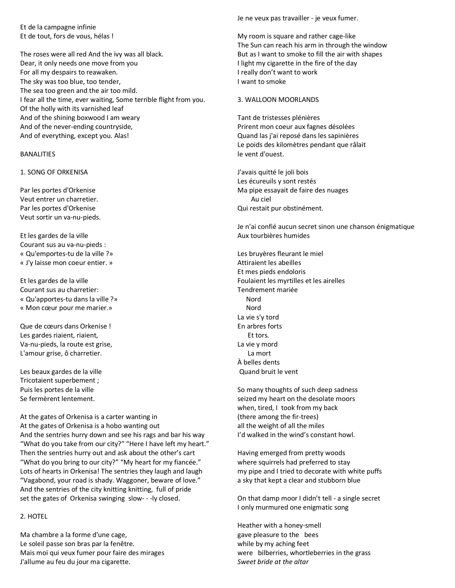Et de la campagne infinie Et de tout, fors de vous, hélas !

The roses were all red And the ivy was all black. Dear, it only needs one move from you For all my despairs to reawaken. The sky was too blue, too tender, The sea too green and the air too mild. I fear all the time, ever waiting, Some terrible flight from you. Of the holly with its varnished leaf And of the shining boxwood I am weary And of the never-ending countryside, And of everything, except you. Alas!

### BANALITIES

1. SONG OF ORKENISA

Par les portes d'Orkenise Veut entrer un charretier. Par les portes d'Orkenise Veut sortir un va-nu-pieds.

Et les gardes de la ville Courant sus au va-nu-pieds : « Qu'emportes-tu de la ville ?» « J'y laisse mon coeur entier. »

Et les gardes de la ville Courant sus au charretier: « Qu'apportes-tu dans la ville ?» « Mon cœur pour me marier.»

Que de cœurs dans Orkenise ! Les gardes riaient, riaient, Va-nu-pieds, la route est grise, L'amour grise, ô charretier.

Les beaux gardes de la ville Tricotaient superbement ; Puis les portes de la ville Se fermèrent lentement.

At the gates of Orkenisa is a carter wanting in At the gates of Orkenisa is a hobo wanting out And the sentries hurry down and see his rags and bar his way "What do you take from our city?" "Here I have left my heart." Then the sentries hurry out and ask about the other's cart "What do you bring to our city?" "My heart for my fiancée." Lots of hearts in Orkenisa! The sentries they laugh and laugh "Vagabond, your road is shady. Waggoner, beware of love." And the sentries of the city knitting knitting, full of pride set the gates of Orkenisa swinging slow- - -ly closed.

### 2. HOTEL

Ma chambre a la forme d'une cage, Le soleil passe son bras par la fenêtre. Mais moi qui veux fumer pour faire des mirages J'allume au feu du jour ma cigarette.

Je ne veux pas travailler - je veux fumer.

My room is square and rather cage-like The Sun can reach his arm in through the window But as I want to smoke to fill the air with shapes I light my cigarette in the fire of the day I really don't want to work I want to smoke

### 3. WALLOON MOORLANDS

Tant de tristesses plénières Prirent mon coeur aux fagnes désolées Quand las j'ai reposé dans les sapinières Le poids des kilomètres pendant que râlait le vent d'ouest.

J'avais quitté le joli bois Les écureuils y sont restés Ma pipe essayait de faire des nuages Au ciel Qui restait pur obstinément.

Je n'ai confié aucun secret sinon une chanson énigmatique Aux tourbières humides

Les bruyères fleurant le miel Attiraient les abeilles Et mes pieds endoloris Foulaient les myrtilles et les airelles Tendrement mariée Nord Nord La vie s'y tord En arbres forts Et tors. La vie y mord La mort À belles dents Quand bruit le vent

So many thoughts of such deep sadness seized my heart on the desolate moors when, tired, I took from my back (there among the fir-trees) all the weight of all the miles I'd walked in the wind's constant howl.

Having emerged from pretty woods where squirrels had preferred to stay my pipe and I tried to decorate with white puffs a sky that kept a clear and stubborn blue

On that damp moor I didn't tell - a single secret I only murmured one enigmatic song

Heather with a honey-smell gave pleasure to the bees while by my aching feet were bilberries, whortleberries in the grass *Sweet bride at the altar*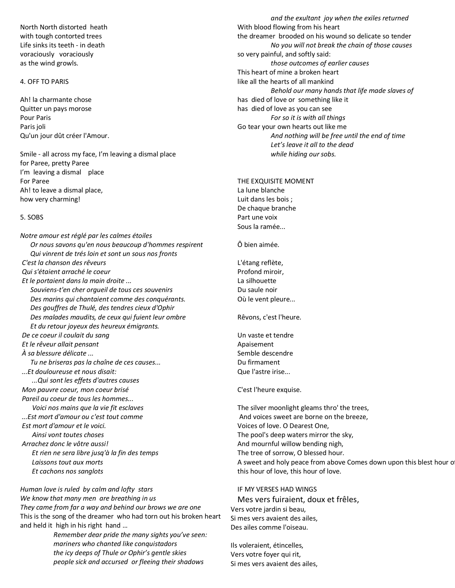North North distorted heath with tough contorted trees Life sinks its teeth - in death voraciously voraciously as the wind growls.

### 4. OFF TO PARIS

Ah! la charmante chose Quitter un pays morose Pour Paris Paris joli Qu'un jour dût créer l'Amour.

Smile - all across my face, I'm leaving a dismal place for Paree, pretty Paree I'm leaving a dismal place For Paree Ah! to leave a dismal place, how very charming!

#### 5. SOBS

*Notre amour est réglé par les calmes étoiles Or nous savons qu'en nous beaucoup d'hommes respirent Qui vinrent de trés loin et sont un sous nos fronts C'est la chanson des rêveurs Qui s'étaient arraché le coeur Et le portaient dans la main droite ... Souviens-t'en cher orgueil de tous ces souvenirs Des marins qui chantaient comme des conquérants. Des gouffres de Thulé, des tendres cieux d'Ophir Des malades maudits, de ceux qui fuient leur ombre Et du retour joyeux des heureux émigrants. De ce coeur il coulait du sang Et le rêveur allait pensant À sa blessure délicate ... Tu ne briseras pas la chaîne de ces causes... ...Et douloureuse et nous disait: ...Qui sont les effets d'autres causes Mon pauvre coeur, mon coeur brisé Pareil au coeur de tous les hommes... Voici nos mains que la vie fit esclaves ...Est mort d'amour ou c'est tout comme Est mort d'amour et le voici. Ainsi vont toutes choses Arrachez donc le vôtre aussi! Et rien ne sera libre jusq'à la fin des temps Laissons tout aux morts Et cachons nos sanglots*

*Human love is ruled by calm and lofty stars We know that many men are breathing in us They came from far a way and behind our brows we are one* This is the song of the dreamer who had torn out his broken heart and held it high in his right hand …

> *Remember dear pride the many sights you've seen: mariners who chanted like conquistadors the icy deeps of Thule or Ophir's gentle skies people sick and accursed or fleeing their shadows*

*and the exultant joy when the exiles returned* With blood flowing from his heart the dreamer brooded on his wound so delicate so tender *No you will not break the chain of those causes* so very painful, and softly said: *those outcomes of earlier causes* This heart of mine a broken heart like all the hearts of all mankind *Behold our many hands that life made slaves of* has died of love or something like it has died of love as you can see *For so it is with all things* Go tear your own hearts out like me *And nothing will be free until the end of time Let's leave it all to the dead while hiding our sobs.*

THE EXQUISITE MOMENT La lune blanche

Luit dans les bois ; De chaque branche Part une voix Sous la ramée...

Ô bien aimée.

L'étang reflète, Profond miroir, La silhouette Du saule noir Où le vent pleure...

Rêvons, c'est l'heure.

Un vaste et tendre Apaisement Semble descendre Du firmament Que l'astre irise...

C'est l'heure exquise.

The silver moonlight gleams thro' the trees, And voices sweet are borne on the breeze, Voices of love. O Dearest One, The pool's deep waters mirror the sky, And mournful willow bending nigh, The tree of sorrow, O blessed hour. A sweet and holy peace from above Comes down upon this blest hour o this hour of love, this hour of love.

### IF MY VERSES HAD WINGS

 Mes vers fuiraient, doux et frêles, Vers votre jardin si beau, Si mes vers avaient des ailes, Des ailes comme l'oiseau.

Ils voleraient, étincelles, Vers votre foyer qui rit, Si mes vers avaient des ailes,